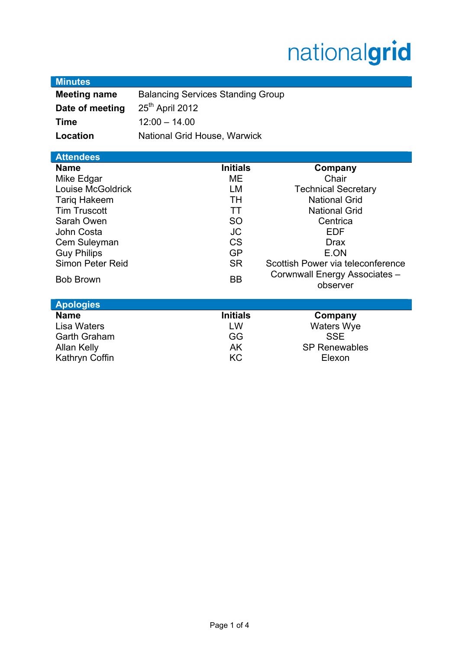# nationalgrid

| <b>Minutes</b>      |                                          |                                   |
|---------------------|------------------------------------------|-----------------------------------|
| <b>Meeting name</b> | <b>Balancing Services Standing Group</b> |                                   |
| Date of meeting     | 25 <sup>th</sup> April 2012              |                                   |
| <b>Time</b>         | $12:00 - 14.00$                          |                                   |
| Location            | National Grid House, Warwick             |                                   |
|                     |                                          |                                   |
| <b>Attendees</b>    |                                          |                                   |
| <b>Name</b>         | <b>Initials</b>                          | Company                           |
| Mike Edgar          | ME                                       | Chair                             |
| Louise McGoldrick   | LM                                       | <b>Technical Secretary</b>        |
| <b>Tariq Hakeem</b> | TH                                       | <b>National Grid</b>              |
| <b>Tim Truscott</b> | TT                                       | <b>National Grid</b>              |
| Sarah Owen          | <b>SO</b>                                | Centrica                          |
| John Costa          | <b>JC</b>                                | <b>EDF</b>                        |
| Cem Suleyman        | <b>CS</b>                                | <b>Drax</b>                       |
| <b>Guy Philips</b>  | <b>GP</b>                                | E.ON                              |
| Simon Peter Reid    | <b>SR</b>                                | Scottish Power via teleconference |
| <b>Bob Brown</b>    | BB                                       | Corwnwall Energy Associates -     |
|                     |                                          | observer                          |
| <b>Apologies</b>    |                                          |                                   |
| <b>Name</b>         | <b>Initials</b>                          | Company                           |
| Lisa Waters         | LW                                       | <b>Waters Wye</b>                 |
| <b>Garth Graham</b> | GG                                       | <b>SSE</b>                        |
| <b>Allan Kelly</b>  | AK                                       | <b>SP Renewables</b>              |
| Kathryn Coffin      | KC                                       | Elexon                            |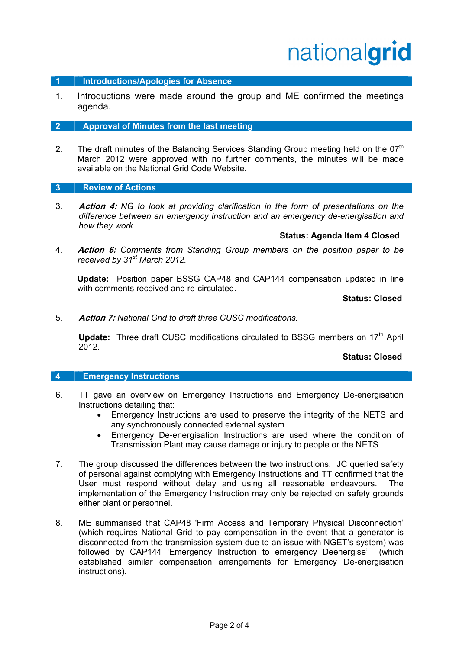# nationalgrid

#### **1 Introductions/Apologies for Absence**

1. Introductions were made around the group and ME confirmed the meetings agenda.

#### **2 Approval of Minutes from the last meeting**

2. The draft minutes of the Balancing Services Standing Group meeting held on the 07<sup>th</sup> March 2012 were approved with no further comments, the minutes will be made available on the National Grid Code Website.

#### **3 Review of Actions**

3. **Action 4:** *NG to look at providing clarification in the form of presentations on the difference between an emergency instruction and an emergency de-energisation and how they work.* 

#### **Status: Agenda Item 4 Closed**

4. **Action 6:** *Comments from Standing Group members on the position paper to be received by 31st March 2012.* 

 **Update:** Position paper BSSG CAP48 and CAP144 compensation updated in line with comments received and re-circulated.

**Status: Closed** 

5. **Action 7:** *National Grid to draft three CUSC modifications.*

**Update:** Three draft CUSC modifications circulated to BSSG members on 17<sup>th</sup> April 2012.

#### **Status: Closed**

#### **4 Emergency Instructions**

- 6. TT gave an overview on Emergency Instructions and Emergency De-energisation Instructions detailing that:
	- Emergency Instructions are used to preserve the integrity of the NETS and any synchronously connected external system
	- Emergency De-energisation Instructions are used where the condition of Transmission Plant may cause damage or injury to people or the NETS.
- 7. The group discussed the differences between the two instructions. JC queried safety of personal against complying with Emergency Instructions and TT confirmed that the User must respond without delay and using all reasonable endeavours. The implementation of the Emergency Instruction may only be rejected on safety grounds either plant or personnel.
- 8. ME summarised that CAP48 'Firm Access and Temporary Physical Disconnection' (which requires National Grid to pay compensation in the event that a generator is disconnected from the transmission system due to an issue with NGET's system) was followed by CAP144 'Emergency Instruction to emergency Deenergise' (which established similar compensation arrangements for Emergency De-energisation instructions).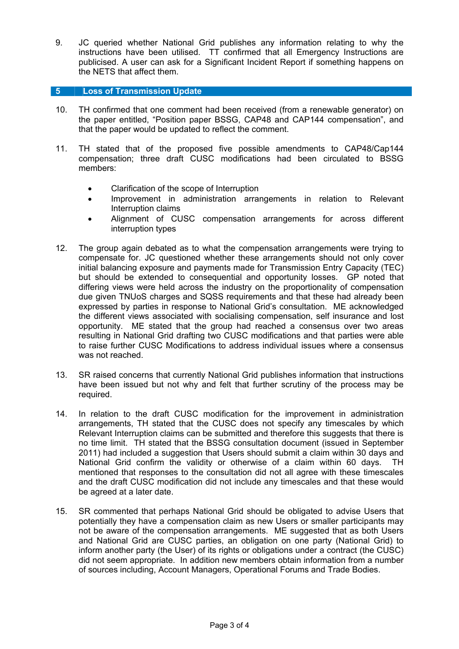9. JC queried whether National Grid publishes any information relating to why the instructions have been utilised. TT confirmed that all Emergency Instructions are publicised. A user can ask for a Significant Incident Report if something happens on the NETS that affect them.

## **5 Loss of Transmission Update**

- 10. TH confirmed that one comment had been received (from a renewable generator) on the paper entitled, "Position paper BSSG, CAP48 and CAP144 compensation", and that the paper would be updated to reflect the comment.
- 11. TH stated that of the proposed five possible amendments to CAP48/Cap144 compensation; three draft CUSC modifications had been circulated to BSSG members:
	- Clarification of the scope of Interruption
	- Improvement in administration arrangements in relation to Relevant Interruption claims
	- Alignment of CUSC compensation arrangements for across different interruption types
- 12. The group again debated as to what the compensation arrangements were trying to compensate for. JC questioned whether these arrangements should not only cover initial balancing exposure and payments made for Transmission Entry Capacity (TEC) but should be extended to consequential and opportunity losses. GP noted that differing views were held across the industry on the proportionality of compensation due given TNUoS charges and SQSS requirements and that these had already been expressed by parties in response to National Grid's consultation. ME acknowledged the different views associated with socialising compensation, self insurance and lost opportunity. ME stated that the group had reached a consensus over two areas resulting in National Grid drafting two CUSC modifications and that parties were able to raise further CUSC Modifications to address individual issues where a consensus was not reached.
- 13. SR raised concerns that currently National Grid publishes information that instructions have been issued but not why and felt that further scrutiny of the process may be required.
- 14. In relation to the draft CUSC modification for the improvement in administration arrangements, TH stated that the CUSC does not specify any timescales by which Relevant Interruption claims can be submitted and therefore this suggests that there is no time limit. TH stated that the BSSG consultation document (issued in September 2011) had included a suggestion that Users should submit a claim within 30 days and National Grid confirm the validity or otherwise of a claim within 60 days. TH mentioned that responses to the consultation did not all agree with these timescales and the draft CUSC modification did not include any timescales and that these would be agreed at a later date.
- 15. SR commented that perhaps National Grid should be obligated to advise Users that potentially they have a compensation claim as new Users or smaller participants may not be aware of the compensation arrangements. ME suggested that as both Users and National Grid are CUSC parties, an obligation on one party (National Grid) to inform another party (the User) of its rights or obligations under a contract (the CUSC) did not seem appropriate. In addition new members obtain information from a number of sources including, Account Managers, Operational Forums and Trade Bodies.